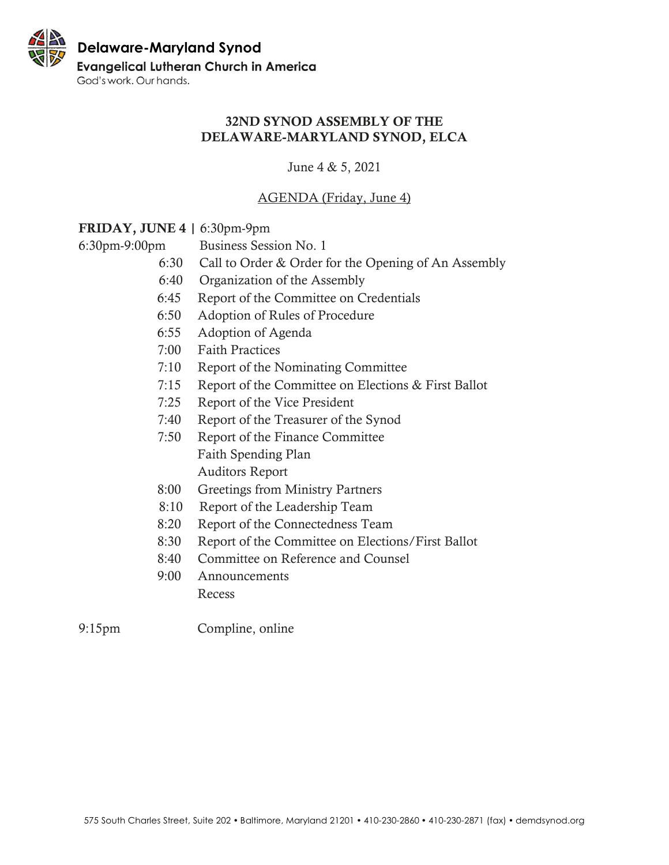## 32ND SYNOD ASSEMBLY OF THE DELAWARE-MARYLAND SYNOD, ELCA

June 4 & 5, 2021

# AGENDA (Friday, June 4)

## FRIDAY, JUNE 4 | 6:30pm-9pm

6:30pm-9:00pm Business Session No. 1

- 6:30 Call to Order & Order for the Opening of An Assembly
- 6:40 Organization of the Assembly
- 6:45 Report of the Committee on Credentials
- 6:50 Adoption of Rules of Procedure
- 6:55 Adoption of Agenda
- 7:00 Faith Practices
- 7:10 Report of the Nominating Committee
- 7:15 Report of the Committee on Elections & First Ballot
- 7:25 Report of the Vice President
- 7:40 Report of the Treasurer of the Synod
- 7:50 Report of the Finance Committee Faith Spending Plan Auditors Report
- 8:00 Greetings from Ministry Partners
- 8:10 Report of the Leadership Team
- 8:20 Report of the Connectedness Team
- 8:30 Report of the Committee on Elections/First Ballot
- 8:40 Committee on Reference and Counsel
- 9:00 Announcements Recess
- 9:15pm Compline, online